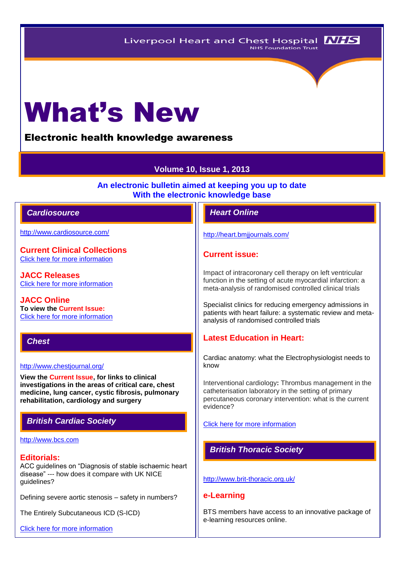# What's New

# Electronic health knowledge awareness

# **Volume 10, Issue 1, 2013**

**An electronic bulletin aimed at keeping you up to date With the electronic knowledge base**

## *Cardiosource Heart Online*

<http://www.cardiosource.com/>

**Current Clinical Collections** [Click here for more information](http://www.cardiosource.org/science-and-quality/clinical-collections.aspx)

**JACC Releases** [Click here for more information](http://www.cardiosource.org/news-media/media-center/jacc-releases.aspx)

**JACC Online To view the Current Issue:** [Click here for more information](http://content.onlinejacc.org/current.dtl)

#### *Chest*

#### <http://www.chestjournal.org/>

**View the Current Issue, for links to clinical investigations in the areas of critical care, chest medicine, lung cancer, cystic fibrosis, pulmonary rehabilitation, cardiology and surgery**

# *British Cardiac Society*

#### [http://www.bcs.com](http://www.bcs.com/)

#### **Editorials:**

ACC guidelines on "Diagnosis of stable ischaemic heart disease" --- how does it compare with UK NICE guidelines?

Defining severe aortic stenosis – safety in numbers?

The Entirely Subcutaneous ICD (S-ICD)

[Click here for more information](http://www.bcs.com/editorial/editorial.asp)

<http://heart.bmjjournals.com/>

#### **Current issue:**

Impact of intracoronary cell therapy on left ventricular function in the setting of acute myocardial infarction: a meta-analysis of randomised controlled clinical trials

Specialist clinics for reducing emergency admissions in patients with heart failure: a systematic review and metaanalysis of randomised controlled trials

# **Latest Education in Heart:**

Cardiac anatomy: what the Electrophysiologist needs to know

Interventional cardiology**:** Thrombus management in the catheterisation laboratory in the setting of primary percutaneous coronary intervention: what is the current evidence?

[Click here for more information](http://heart.bmj.com/site/about/education.xhtml) 

# *British Thoracic Society*

<http://www.brit-thoracic.org.uk/>

#### **e-Learning**

BTS members have access to an innovative package of e-learning resources online.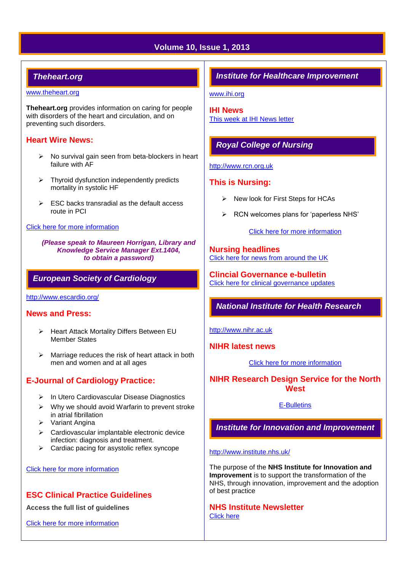# **Volume 10, Issue 1, 2013**

# *Theheart.org*

#### [www.theheart.org](http://www.theheart.org/)

**Theheart.org** provides information on caring for people with disorders of the heart and circulation, and on preventing such disorders.

#### **Heart Wire News:**

- $\triangleright$  No survival gain seen from beta-blockers in heart failure with AF
- $\triangleright$  Thyroid dysfunction independently predicts mortality in systolic HF
- $\triangleright$  ESC backs transradial as the default access route in PCI

#### [Click here for more information](http://www.theheart.org/section/heartwire.do)

*(Please speak to Maureen Horrigan, Library and Knowledge Service Manager Ext.1404, to obtain a password)*

#### *European Society of Cardiology*

<http://www.escardio.org/>

#### **News and Press:**

- ▶ Heart Attack Mortality Differs Between EU Member States
- $\triangleright$  Marriage reduces the risk of heart attack in both men and women and at all ages

# **E-Journal of Cardiology Practice:**

- $\triangleright$  In Utero Cardiovascular Disease Diagnostics
- $\triangleright$  Why we should avoid Warfarin to prevent stroke in atrial fibrillation
- $\triangleright$  Variant Angina
- $\triangleright$  Cardiovascular implantable electronic device infection: diagnosis and treatment.
- $\triangleright$  Cardiac pacing for asystolic reflex syncope

#### [Click here for more information](http://www.escardio.org/communities/councils/ccp/e-journal/volume11/Pages/welcome.aspx)

# **ESC Clinical Practice Guidelines**

**Access the full list of guidelines** 

[Click here for more information](http://www.escardio.org/guidelines-surveys/esc-guidelines/Pages/GuidelinesList.aspx)

# *Institute for Healthcare Improvement*

[www.ihi.org](http://www.ihi.org/)

**IHI News**  [This week at IHI News letter](http://www.ihi.org/Documents/ThisWeekatIHI.htm) 

# *Royal College of Nursing*

#### [http://www.rcn.org.uk](http://www.rcn.org.uk/)

#### **This is Nursing:**

- $\triangleright$  New look for First Steps for HCAs
- $\triangleright$  RCN welcomes plans for 'paperless NHS'

[Click here for more information](http://thisisnursing.rcn.org.uk/members/)

#### **Nursing headlines** [Click here for news from around the UK](http://www.rcn.org.uk/newsevents/news)

**Clincial Governance e-bulletin** [Click here for clinical governance updates](http://www.rcn.org.uk/development/practice/clinical_governance/quality_and_safety_e-bulletin/e-bulletin_archive)

# *National Institute for Health Research*

[http://www.nihr.ac.uk](http://www.nihr.ac.uk/)

**NIHR latest news**

[Click here for more information](http://www.nihr.ac.uk/news/Pages/default.aspx)

**NIHR Research Design Service for the North West**

#### [E-Bulletins](http://www.rds-nw.nihr.ac.uk/newstrainingevents/ebulletin.php)

*Institute for Innovation and Improvement*

#### <http://www.institute.nhs.uk/>

The purpose of the **NHS Institute for Innovation and Improvement** is to support the transformation of the NHS, through innovation, improvement and the adoption of best practice

**NHS Institute Newsletter**  [Click here](http://www.institute.nhs.uk/organisation/general/nhs_institute_newsletters.html)